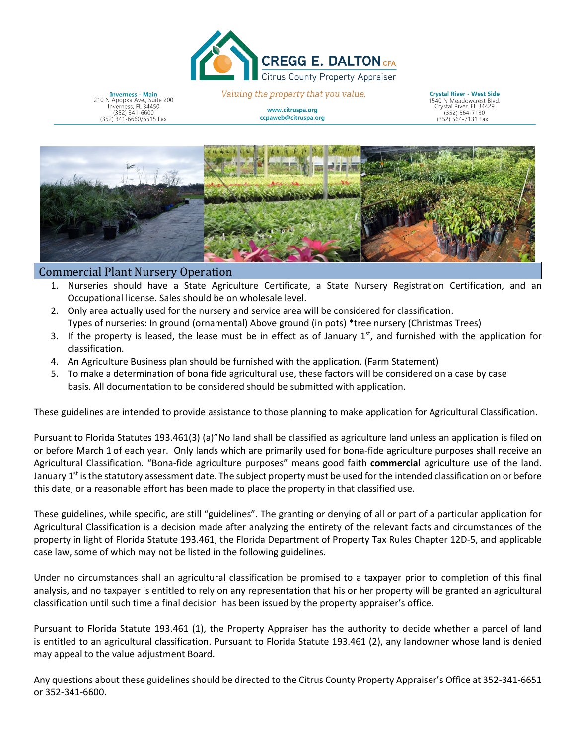

**Inverness - Main** 210 N Apopka Ave., Suite 200<br>Inverness, FL 34450<br>(352) 341-6600 (352) 341-6660/6515 Fax

Valuing the property that you value. www.citruspa.org

ccpaweb@citruspa.org

**Crystal River - West Side** 1540 N Meadowcrest Blvd.<br>Crystal River, FL 34429<br>(352) 564-7130 (352) 564-7131 Fax



## Commercial Plant Nursery Operation

- 1. Nurseries should have a State Agriculture Certificate, a State Nursery Registration Certification, and an Occupational license. Sales should be on wholesale level.
- 2. Only area actually used for the nursery and service area will be considered for classification. Types of nurseries: In ground (ornamental) Above ground (in pots) \*tree nursery (Christmas Trees)
- 3. If the property is leased, the lease must be in effect as of January  $1<sup>st</sup>$ , and furnished with the application for classification.
- 4. An Agriculture Business plan should be furnished with the application. (Farm Statement)
- 5. To make a determination of bona fide agricultural use, these factors will be considered on a case by case basis. All documentation to be considered should be submitted with application.

These guidelines are intended to provide assistance to those planning to make application for Agricultural Classification.

Pursuant to Florida Statutes 193.461(3) (a)"No land shall be classified as agriculture land unless an application is filed on or before March 1 of each year. Only lands which are primarily used for bona-fide agriculture purposes shall receive an Agricultural Classification. "Bona-fide agriculture purposes" means good faith **commercial** agriculture use of the land. January 1<sup>st</sup> is the statutory assessment date. The subject property must be used for the intended classification on or before this date, or a reasonable effort has been made to place the property in that classified use.

These guidelines, while specific, are still "guidelines". The granting or denying of all or part of a particular application for Agricultural Classification is a decision made after analyzing the entirety of the relevant facts and circumstances of the property in light of Florida Statute 193.461, the Florida Department of Property Tax Rules Chapter 12D-5, and applicable case law, some of which may not be listed in the following guidelines.

Under no circumstances shall an agricultural classification be promised to a taxpayer prior to completion of this final analysis, and no taxpayer is entitled to rely on any representation that his or her property will be granted an agricultural classification until such time a final decision has been issued by the property appraiser's office.

Pursuant to Florida Statute 193.461 (1), the Property Appraiser has the authority to decide whether a parcel of land is entitled to an agricultural classification. Pursuant to Florida Statute 193.461 (2), any landowner whose land is denied may appeal to the value adjustment Board.

Any questions about these guidelines should be directed to the Citrus County Property Appraiser's Office at 352-341-6651 or 352-341-6600.